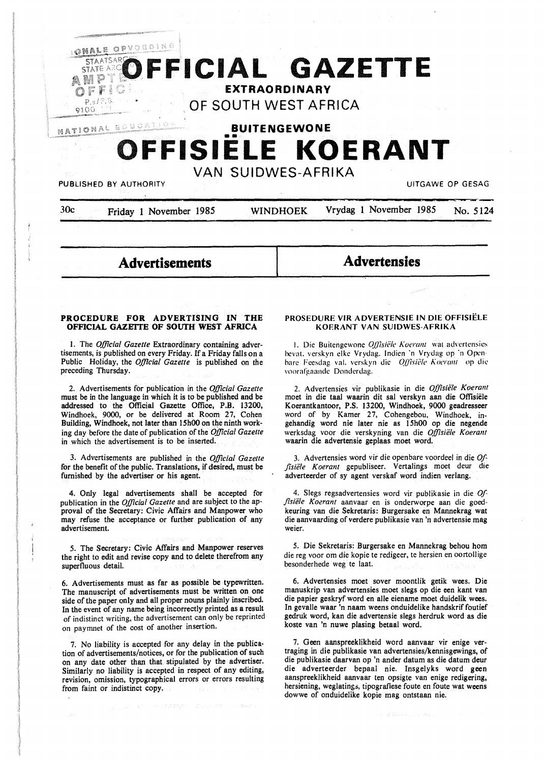

30c Friday 1 November 1985 WINDHOEK Vrydag 1 November 1985 No. 5124

# **Advertisements**

**Advertensies** 

#### **PROCEDURE FOR ADVERTISING IN THE OFFICIAL GAZBITE OF SOUTH WEST AFRICA**

I. The *Official Gazette* Extraordinary containing advertisements, is published on every Friday. If a Friday falls on a Public Holiday, the *Official Gazette* is published on the preceding Thursday.

2. Advertisements for publication in the *Official Gazette*  must be in the language in which it is to be published and be addressed to the Official Gazette Office, P.B. 13200, Windhoek, 9000, or be delivered at Room 27, Cohen Building, Windhoek, not later than 15h00 on the ninth working day before the date of publication of the *Official Gazette*  in which the advertisement is to be inserted.

3. Advertisements are published in the *Official Gazette*  for the benefit of the public. Translations, if desired, must be furnished by the advertiser or his agent.

4. Only legal advertisements shall be accepted for publication in the *Official Gazette* and are subject to the approval of the Secretary: Civic Affairs and Manpower who may refuse the acceptance or further publication of any advertisement.

5. The Secretary: Civic Affairs and Manpower reserves the right to edit and revise copy and to delete therefrom any superfluous detail.

6. Advertisements must as far as possible be typewritten. The manuscript of advertisements must be written on one side of the paper only and all proper nouns plainly inscribed. In the event of any name being incorrectly printed as a result of indistinct writing, the advertisement can only be reprinted on paymnet of the cost of another insertion.

7. No liability is accepted for any delay in the publication of advertisements/notices, or for the publication of such on any date other than that stipulated by the advertiser. Similarly no liability is accepted in respect of any editing, revision, omission, typographical errors or errors resulting from faint or indistinct copy.

#### **PROSEDVRE VIR ADVERTENSIE IN DIE OFFISIELE KOERANT VAN SVIDWES-AFRIKA**

1. Die Buitengewone *Offisiële Koerant* wat advertensies hevat. verskyn elke Vrydag. lndien ·n Vrydag op ·n Openhare Feesdag val. verskyn die *Offisiële Koerant* op die voorafgaande Donderdag.

2. Advertensies vir publikasie in die *Offisiele Koerant*  moet in die taal waarin dit sal verskyn aan die Offisiele Koerantkantoor, P.S. 13200, Windhoek, 9000 geadresseer word of by Kamer 27, Cohengebou, Windhoek, ingehandig word nie later nie as 15h00 op die negende werksdag voor die verskyning van die *Offisiele Koerant*  waarin die advertensie geplaas moet word.

3. Advertensies word vir die openbare voordeel in die *Of*fisiële Koerant gepubliseer. Vertalings moet deur die adverteerder of sy agent verskaf word indien verlang.

4. Slegs regsadvertensies word vir publikasie in die *Offlsiele Koerant* aanvaar en is onderworpe aan die goedkeuring van die Sekretaris: Burgersake en Mannekrag wat die aanvaarding of verdere publikasie van 'n advertensie mag weier.

5. Die Sekretaris: Burgersake en Mannekrag behou horn die reg voor om die kopie te redigeer, te hersien en oortollige besonderhede weg te laat.

6. Advertensies moet sover moontlik getik wees. Die manuskrip van advertensies moet slegs op die een kant van die papier geskryf word en alle eiename moet duidelik wees. In gevalle waar 'n naam weens onduidelike handskrif foutief gedruk word, kan die advertensie slegs herdruk word as die koste van 'n nuwe plasing betaal word.

7. Geen aanspreeklikheid word aanvaar vir enige vertraging in die publikasie van advertensies/kennisgewings, of die publikasie daarvan op 'n ander datum as die datum deur die adverteerder bepaal nie. Insgelyks word **geen**  aanspreeklikheid aanvaar ten opsigte van enige redigering, hersiening, weglatings, tipografiese foute en foute wat weens dowwe of onduidelike kopie mag ontstaan nie.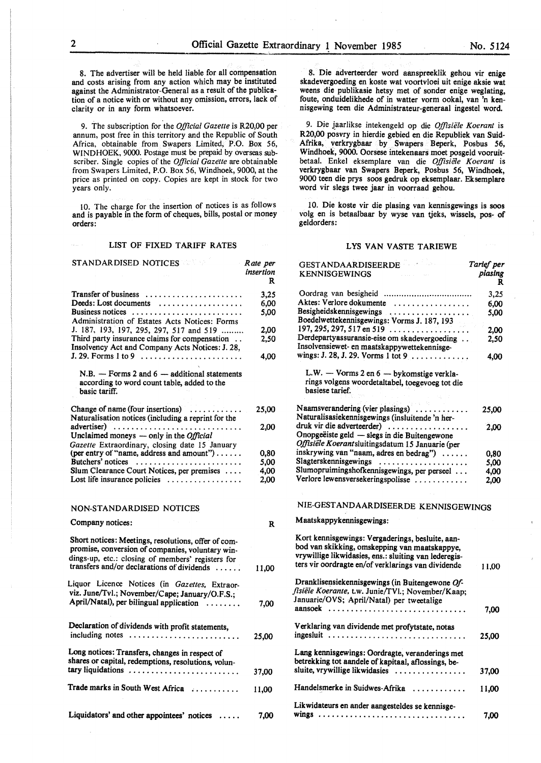8. The advertiser will be held liable for all compensation

and costs arising from any action which may be instituted against the Administrator-General as a result of the publication of a notice with or without any omission, errors, lack of clarity or in any form whatsoever.

9. The subscription for the *Official Gazette* is R20,00 per annum, post free in this territory and the Republic of South Africa, obtainable from Swapers Limited, P.O. Box 56, WINDHOEK, 9000. Postage must be prepaid by overseas subscriber. Single copies of the *Official Gazette* are obtainable from Swapers Limited, P.O. Box 56, Windhoek, 9000, at the price as printed on copy. Copies are kept in stock for two years only.

10. The charge for the insertion of notices is as follows and is payable in the form of cheques, bills, postal or money orders:

#### LIST OF FIXED TARIFF RATES

| STANDARDISED NOTICES                                                                                                                                         | Rate per<br>insertion<br>R |
|--------------------------------------------------------------------------------------------------------------------------------------------------------------|----------------------------|
| Transfer of business<br>Deeds: Lost documents<br>Business notices<br>Administration of Estates Acts Notices: Forms                                           | 3,25<br>6,00<br>5,00       |
| J. 187, 193, 197, 295, 297, 517 and 519<br>Third party insurance claims for compensation<br>Insolvency Act and Company Acts Notices: J. 28,                  | 2,00<br>2,50               |
|                                                                                                                                                              | 4,00                       |
| $N.B.$ - Forms 2 and 6 - additional statements<br>according to word count table, added to the<br>basic tariff.                                               |                            |
| Change of name (four insertions)<br>Naturalisation notices (including a reprint for the                                                                      | 25,00                      |
| advertiser)<br>Unclaimed moneys $-$ only in the <i>Official</i><br>Gazette Extraordinary, closing date 15 January                                            | 2,00                       |
| (per entry of "name, address and amount")                                                                                                                    | 0,80                       |
| Butchers' notices                                                                                                                                            | 5,00                       |
| Slum Clearance Court Notices, per premises                                                                                                                   | 4,00                       |
| Lost life insurance policies $\dots \dots \dots \dots$                                                                                                       | 2,00                       |
| NON-STANDARDISED NOTICES                                                                                                                                     |                            |
| Company notices:                                                                                                                                             | R                          |
| Short notices: Meetings, resolutions, offer of com-<br>promise, conversion of companies, voluntary win-<br>dings-up, etc.: closing of members' registers for |                            |
| transfers and/or declarations of dividends                                                                                                                   | 11,00                      |
| Liquor Licence Notices (in Gazettes, Extraor-<br>viz. June/Tvl.; November/Cape; January/O.F.S.;                                                              |                            |
| April/Natal), per bilingual application                                                                                                                      | 7,00                       |
| Declaration of dividends with profit statements,<br>including notes                                                                                          | 25,00                      |
| Long notices: Transfers, changes in respect of<br>shares or capital, redemptions, resolutions, volun-                                                        |                            |
| tary liquidations                                                                                                                                            | 37,00                      |
| Trade marks in South West Africa                                                                                                                             | 11,00                      |
| Liquidators' and other appointees' notices                                                                                                                   | 7,00                       |

8. Die adverteerder word aanspreeklik gehou vir enige skadevergoeding en koste wat voortvloei uit enige aksie wat weens die publikasie hetsy met of sonder enige weglating, foute, onduidelikhede of in watter vorm ookal, van 'n kennisgewing teen die Administrateur-generaal ingestel word.

9. Die jaarlikse intekengeld op die *Offisiële Koerant* is R20,00 posvry in hierdie gebied en die Republiek van Suid-Afrika, verkrygbaar by Swapers Beperk, Posbus 56, Windhoek, 9000. Oorsese intekenaars moet posgeld vooruitbetaal. Enkel eksemplare van die Offisiële Koerant is verkrygbaar van Swapers Beperk, Posbus 56, Windhoek, 9000 teen die prys soos gedruk op eksemplaar. Eksemplare word vir slegs twee jaar in voorraad gehou.

10. Die koste vir die plasing van kennisgewings is soos volg en is betaalbaar by wyse van tjeks, wissels, pos- of geldorders:

#### LYS VAN VASTE TARIEWE

| GESTANDAARDISEERDE<br>e portugue<br><b>KENNISGEWINGS</b>                                                                                                                                                         | Tarief per<br>plasing<br>R |
|------------------------------------------------------------------------------------------------------------------------------------------------------------------------------------------------------------------|----------------------------|
|                                                                                                                                                                                                                  | 3,25                       |
| Aktes: Verlore dokumente<br>.                                                                                                                                                                                    | 6,00                       |
| Besigheidskennisgewings                                                                                                                                                                                          | 5,00                       |
| Boedelwettekennisgewings: Vorms J. 187, 193                                                                                                                                                                      |                            |
| 197, 295, 297, 517 en 519                                                                                                                                                                                        | 2.00                       |
| Derdepartyassuransie-eise om skadevergoeding                                                                                                                                                                     | 2,50                       |
| Insolvensiewet- en maatskappywettekennisge-                                                                                                                                                                      |                            |
| wings: J. 28, J. 29. Vorms 1 tot 9                                                                                                                                                                               | 4,00                       |
| L.W. - Vorms 2 en 6 - bykomstige verkla-                                                                                                                                                                         |                            |
| rings volgens woordetaltabel, toegevoeg tot die                                                                                                                                                                  |                            |
| basiese tarief.                                                                                                                                                                                                  |                            |
| Naamsverandering (vier plasings)                                                                                                                                                                                 | 25,00                      |
| Naturalisasiekennisgewings (insluitende 'n her-                                                                                                                                                                  |                            |
| druk vir die adverteerder)                                                                                                                                                                                       | 2,00                       |
| Onopgeëiste geld — slegs in die Buitengewone                                                                                                                                                                     |                            |
| Offisiële Koerantsluitingsdatum 15 Januarie (per                                                                                                                                                                 |                            |
| inskrywing van "naam, adres en bedrag")                                                                                                                                                                          | 0.80                       |
| Slagterskennisgewings                                                                                                                                                                                            | 5,00                       |
| Slumopruimingshofkennisgewings, per perseel                                                                                                                                                                      | 4,00                       |
| Verlore lewensversekeringspolisse                                                                                                                                                                                | 2,00                       |
| NIE-GESTANDAARDISEERDE KENNISGEWINGS                                                                                                                                                                             |                            |
| Maatskappykennisgewings:                                                                                                                                                                                         |                            |
| Kort kennisgewings: Vergaderings, besluite, aan-<br>bod van skikking, omskepping van maatskappye,<br>vrywillige likwidasies, ens.: sluiting van lederegis-<br>ters vir oordragte en/of verklarings van dividende | 11.00                      |
| Dranklisensiekennisgewings (in Buitengewone Of-<br>fisiële Koerante, t.w. Junie/TVI.; November/Kaap;<br>Januarie/OVS; April/Natal) per tweetalige                                                                |                            |
| aansoek                                                                                                                                                                                                          | 7,00                       |
| Verklaring van dividende met profytstate, notas<br>ingesluit                                                                                                                                                     | 25,00                      |
| Lang kennisgewings: Oordragte, veranderings met<br>betrekking tot aandele of kapitaal, aflossings, be-<br>sluite, vrywillige likwidasies                                                                         | 37,00                      |
| Handelsmerke in Suidwes-Afrika $\ldots$                                                                                                                                                                          | 11,00                      |
| Likwidateurs en ander aangesteldes se kennisge-                                                                                                                                                                  |                            |
| wings                                                                                                                                                                                                            | 7,00                       |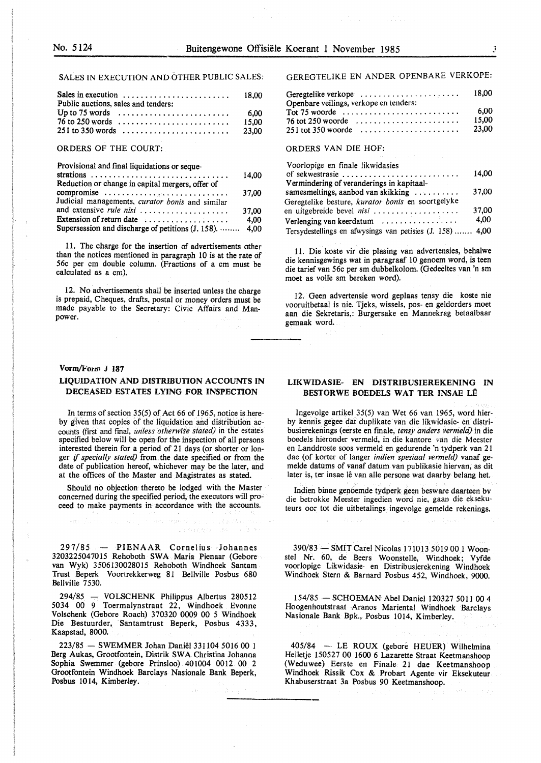SALES IN EXECUTION AND OTHER PUBLIC SALES:

| Sales in execution $\ldots \ldots \ldots \ldots \ldots \ldots \ldots$ 18,00<br>Public auctions, sales and tenders: |       |
|--------------------------------------------------------------------------------------------------------------------|-------|
|                                                                                                                    |       |
| $76$ to 250 words $\ldots \ldots \ldots \ldots \ldots \ldots \ldots$                                               | 15.00 |
|                                                                                                                    | 23.00 |

ORDERS OF THE COURT:

| Provisional and final liquidations or seque-               |       |
|------------------------------------------------------------|-------|
|                                                            | 14.00 |
| Reduction or change in capital mergers, offer of           |       |
| compromise                                                 | 37.00 |
| Judicial managements, curator bonis and similar            |       |
| and extensive rule nisi                                    | 37,00 |
| Extension of return date $\dots\dots\dots\dots\dots\dots$  | 4.00  |
| Supersession and discharge of petitions $(1, 158)$ .  4,00 |       |
|                                                            |       |

11. The charge for the insertion of advertisements other than the notices mentioned in paragraph 10 is at the rate of 56c per cm double column. (Fractions of a cm must be calculated as a cm).

12. No advertisements shall be inserted unless the charge is prepaid, Cheques, drafts, postal or money orders must be made payable to the Secretary: Civic Affairs and Manpower.

#### Vorm/Form J 187

#### **LIQUIDATION AND DISTRIBUTION ACCOUNTS IN DECEASED ESTATES LYING FOR INSPECTION**

In terms of section 35(5) of Act 66 of 1965, notice is hereby given that copies of the liquidation and distribution accounts (first and final, *unless otherwise stated)* in the estates specified below will be open for the inspection of all persons interested therein for a period of 21 days (or shorter or longer if *specially stated)* from the date specified or from the date of publication hereof, whichever may be the later, and at the offices of the Master and Magistrates as stated.

Should no objection thereto be lodged with the Master concerned during the specified period, the executors will proceed to make payments in accordance with the accounts.

The expertise of the control of the

297/85 - PIENAAR Cornelius Johannes 3203225047015 Rehoboth SWA Maria Pienaar (Gebore van Wyk) 3506130028015 Rehoboth Windhoek Santam Trust Beperk Voortrekkerweg 81 Bellville Posbus 680 Bellville 7530.

294/85 - VOLSCHENK Philippus Albertus 280512 5034 00 9 Toermalynstraat 22, Windhoek Evonne Volschenk (Gebore Roach) 370320 0009 00 *5* Windhoek Die Bestuurder, Santamtrust Beperk, Posbus 4333, Kaapstad, 8000.

223/85 - SWEMMER Johan Daniel 331104 5016 00 1 Berg Aukas, Grootfontein, Distrik SWA Christina Johanna Sophia Swemmer (gebore Prinsloo) 401004 0012 00 2 Grootfontein Windhoek Barclays Nasionale Bank Beperk, Posbus 1014, Kimberley.

GEREGTELIKE EN ANDER OPENBARE VERKOPE:

| Geregtelike verkope<br>Openbare veilings, verkope en tenders: | 18.00 |
|---------------------------------------------------------------|-------|
| Tot 75 woorde $\ldots \ldots \ldots \ldots \ldots \ldots$     | 6.00  |
| $76$ tot 250 woorde                                           | 15.00 |
| $251$ tot 350 woorde                                          | 23.00 |

#### ORDERS VAN DIE HOF:

| Voorlopige en finale likwidasies                          |       |
|-----------------------------------------------------------|-------|
| of sekwestrasie                                           | 14.00 |
| Vermindering of veranderings in kapitaal-                 |       |
| samesmeltings, aanbod van skikking                        | 37,00 |
| Geregtelike besture, kurator bonis en soortgelyke         |       |
| en uitgebreide bevel nisi                                 | 37.00 |
| Verlenging van keerdatum $\dots\dots\dots\dots\dots\dots$ | 4.00  |
| Tersydestellings en afwysings van petisies (J. 158)  4,00 |       |

11. Die koste vir die plasing van advertensies, behalwe die kennisgewings wat in paragraaf 10 genoem word, is teen die tarief van 56c per sm dubbelkolom. (Gedeeltes van 'n sm moet as voile sm bereken word).

12. Geen advertensie word geplaas tensy die koste nie vooruitbetaal is nie. Tjeks, wissels, pos- en geldorders moet aan die Sekretaris,: Burgersake en Mannekrag betaalbaar gemaak word.

#### **LIKWIDASIE- EN DISTRIBUSIEREKENING IN BESTORWE BOEDELS WAT TER INSAE LE**

Ingevolge artikel 35(5) van Wet 66 van 1965, word hierby kennis gegee dat duplikate van die likwidasie- en distribusierekenings (eerste en finale, *tensy anders vermeld)* in die boedels hieronder vermeld, in die kantore van die Meester en Landdroste soos vermeld en gedurende 'n tydperk van 21 dae (of korter of langer *indien spesiaal vermeld)* vanaf gemelde datums of vanaf datum van publikasie hiervan, as dit later is, ter insae lê van alle persone wat daarby belang het.

Indien binne genoemde tydperk geen besware daarteen bv die betrokke Meester ingedien word nie, gaan die eksekuteurs oor tot die uitbetalings ingevolge gemelde rekenings.

390/83 - SMIT Carel Nicolas 171013 5019 00 1 Woonstel Nr. 60, de Beers Woonstelle, Windhoek; Vyfde voorlopige Likwidasie- en Distribusierekening Windhoek Windhoek Stern & Barnard Posbus 452, Windhoek, 9000.

154/85 - SCHOEMAN Abel Daniel 120327 50ll 00 4 Hoogenhoutstraat Aranos Mariental Windhoek Barclays Nasionale Bank Bpk., Posbus 1014, Kimberley.

405/84 - LE ROUX (gebore HEUER) Wilhelmina Heiletje 150527 00 1600 6 Lazarette Straat Keetmanshoop (Weduwee) Eerste en Finale 21 dae Keetmanshoop Windhoek Rissik Cox & Probart Agente vir Eksekuteur Khabuserstraat 3a Posbus 90 Keetmanshoop.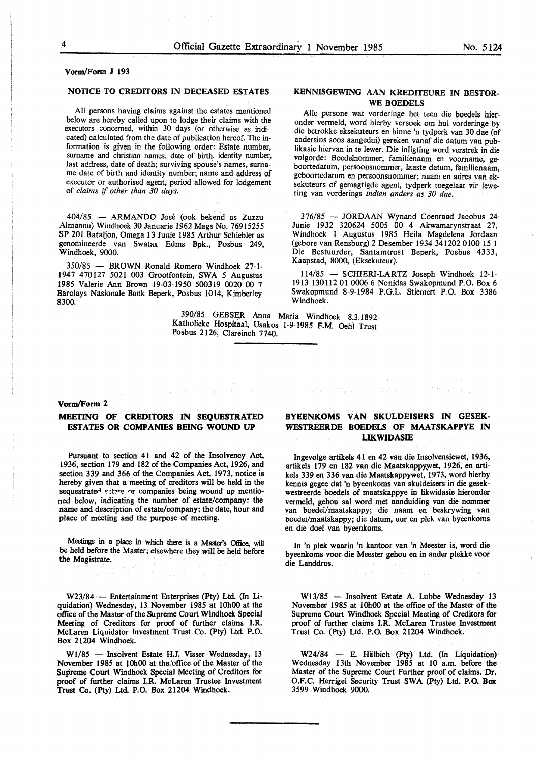## **Vorm/Form J 193**

#### **NOTICE TO CREDITORS IN DECEASED ESTATES**

All persons having claims against the estates mentioned below are hereby called upon to lodge their claims with the executors concerned, within 30 days (or otherwise as indicated) calculated from the date of publication hereof. The information is given in the following order: Estate number, surname and christian names, date of birth, identity number, last address, date of death; surviving spouse's names, surname date of birth and identity number; name and address of executor or authorised agent, period allowed for lodgement of *claims* if *other than 30 days.* 

404/85 - ARMANDO Jose (ook bekend as Zuzzu Almannu) Windhoek 30 Januarie 1962 Mags No. 76915255 **SP** 201 Bataljon, Omega 13 Junie 1985 Arthur Schiebler as genomineerde van Swatax Edms Bpk., Posbus 249, Windhoek, 9000.

350/85 - BROWN Ronald Romero Windhoek 27-1- 1947 470127 5021 003 Grootfontein, SWA *5* Augustus 1985 Valerie Ann Brown 19-03-1950 500319 0020 00 7 Barclays Nasionale Bank Beperk, Posbus 1014, Kimberley 8300.

> 390/85 GEBSER Anna Maria Windhoek 8.3.1892 Katholieke Hospitaal, Usakos 1-9-1985 F.M. Oehl Trust Posbus 2126, Clareinch 7740.

#### **KENNISGEWING AAN KREDITEURE IN BESTOR-WE BOEDELS**

Alie persone wat vorderinge het teen die boedels hieronder vermeld, word hierby versoek om hul vorderinge by die betrokke eksekuteurs en binne 'n tydperk van 30 dae (of andersins soos aangedui) gereken vanaf die datum van publikasie hiervan in te lewer. Die inligting word verstrek in die volgorde: Boedelnommer, familienaam en voorname, geboortedatum, persoonsnommer, laaste datum, familienaam, geboortedatum en persoonsnommer; naam en adres van eksekuteurs of gemagtigde agent, tydperk toegelaat vir lewering van vorderings *indien anders as 30 dae.* 

376/85 - JORDAAN Wynand Coenraad Jacobus 24 Junie 1932 320624 5005 00 4 Akwamarynstraat 27, Windhoek 1 Augustus 1985 Heila Magdelena Jordaan (gebore van Rensburg) 2 Desember 1934 341202 0100 15 1 Die Bestuurder, Santamtrust Beperk, Posbus 4333, Kaapstad, 8000, (Eksekuteur).

114/85 - SCHIERI-LARTZ Joseph Windhoek 12-1- 1913 130112 01 0006 6 Nonidas Swakopmund P.O. Box 6 Swakopmund 8-9-1984 P.G.L. Stiemert P.O. Box 3386 Windhoek.

## **Vorm/Form 2**

#### **MEETING OF CREDITORS IN SEQUESTRATED ESTATES OR COMPANIES BEING WOUND UP**

Pursuant to section 41 and 42 of the Insolvency Act, 1936, section 179 and 182 of the Companies Act, 1926, and section 339 and 366 of the Companies Act, 1973, notice is hereby given that a meeting of creditors will be held in the sequestrated estate or companies being wound up mentioned below, indicating the number of estate/company: the name and description of estate/company; the date, hour and place of meeting and the purpose of meeting.

Meetings in a place in which there is a Master's Office, will be held before the Master; elsewhere they will be held before the Magistrate.

W23/84 - Entertainment Enterprises (Pty) Ltd. (In Liquidation) Wednesday, 13 November 1985 at 10h00 at the office of the Master of the Supreme Court Windhoek Special Meeting of Creditors for proof of further claims I.R. McLaren Liquidator Investment Trust Co. (Pty) Ltd. P.O. Box 21204 Windhoek.

W1/85 - Insolvent Estate H.J. Visser Wednesday, 13 November 1985 at 10h00 at the office of the Master of the Supreme Court Windhoek Special Meeting of Creditors for proof of further claims I.R. McLaren Trustee Investment Trust Co. (Pty) Ltd. P.O. Box 21204 Windhoek.

#### **BYEENKOMS VAN SKULDEISERS IN GESEK-WESTREERDE BOEDELS OF MAATSKAPPYE IN LIKWIDASIB**

(1) Advisor Again (1997) 41-42

Ingevolge artikels 41 en 42 van die Insolvensiewet, 1936, artikels 179 en 182 van die Maatskappy,wet, 1926, en artikels 339 en 336 van die Maatskappywet, 1973, word hierby kennis **gegee** dat 'n byeenkoms van skuldeisers in die **gesek**westreerde boedels of maatskappye in likwidasie hieronder vermeld, gehou sal word met aanduiding van die nommer van boedel/maatskappy; die naam en beskrywing van boedet/maatskappy; die datum, uur en plek van byeenkoms en die doe! van byeenkoms.

In 'n plek waarin 'n kantoor van 'n Meester is, word die byeenkoms voor die Meester gehou en in ander plekke voor die Landdros.

W13/85 - Insolvent Estate A. Lubbe Wednesday 13 November 1985 at 10h00 at the office of the Master of the Supreme Court Windhoek Special Meeting of Creditors for proof of further claims I.R. McLaren Trustee Investment Trust Co. (Pty) Ltd. P.O. Box 21204 Windhoek.

W24/84 - E. Hälbich (Pty) Ltd. (In Liquidation) Wednesday 13th November 1985 at IO a.m. before the Master of the Supreme Court Further proof of claims. Dr. O.F.C. Herrigel Security Trust SWA (Pty) Ltd. P.O. Box 3599 Windhoek 9000.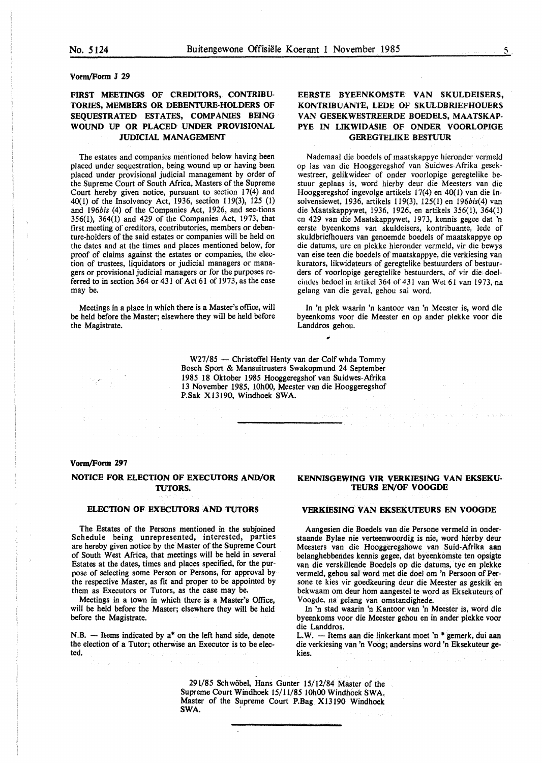#### **Vorm/Form J 29**

#### **FIRST MEETINGS OF CREDITORS, CONTRIBU-TORIES, MEMBERS OR DEBENTURE-HOLDERS OF SEQUESTRATED ESTATES, COMPANIES BEING WOUND UP OR PLACED UNDER PROVISIONAL JUDICIAL MANAGEMENT**

The estates and companies mentioned below having been placed under sequestration, being wound up or having been placed under provisional judicial management by order of the Supreme Court of South Africa, Masters of the Supreme Court hereby given notice, pursuant to section  $17(4)$  and 40(1) of the Insolvency Act, 1936, section 119(3), 125 (I) and *196bis* (4) of the Companies Act, 1926, and sec-tions 356(1), 364(1) and 429 of the Companies Act, 1973, that first meeting of creditors, contributories, members or debenture-holders of the said estates or companies will be held on the dates and at the times and places mentioned below, for proof of claims against the estates or companies, the election of trustees, liquidators or judicial managers or managers or provisional judicial managers or for the purposes referred to in section 364 or 431 of Act 61 of 1973, as the case may be.

Meetings in a place in which there is a Master's office, will be held before the Master; elsewhere they will be held before the Magistrate.

#### **EERSTE BYEENKOMSTE VAN SKULDEISERS, KONTRIBUANTE, LEDE OF SKULDBRIEFHOUERS VAN GESEKWESTREERDE BOEDELS, MAATSKAP-PYE IN LIKWIDASIE OF ONDER VOORLOPIGE GEREGTELIKE BESTUUR**

Nademaal die boedels of maatskappye hieronder vermeld op las van die Hooggeregshof van Suidwes-Afrika gesekwestreer, gelikwideer of onder voorlopige geregtelike bestuur geplaas is, word hierby deur die Meesters van die Hooggeregshof ingevolge artikels 17(4) en 40(1) van die Insolvensiewet, 1936, artikels 119(3), 125(1) en 196bis(4) van die Maatskappywet, 1936, 1926, en artikels 356(1), 364(1) en 429 van die Maatskappywet, 1973, kennis gegee dat 'n eerste byeenkoms van skuldeisers, kontribuante, lede of skuldbriefhouers van genoemde boedels of maatskappye op die datums, ure en plekke hieronder vermeld, vir die bewys van eise teen die boedels of maatskappye, die verkiesing van kurators, likwidateurs of geregtelike bestuurders of bestuurders of voorlopige geregtelike bestuurders, of vir die doeleindes bedoel in artikel 364 of 431 van Wet 61 van 1973, na gelang van die geval, gehou sal word.

In 'n plek waarin 'n kantoor van 'n Meester is, word die byeenkoms voor die Meester en op ander plekke voor die Landdros gehou. ,

W27/85 - Christoffel Henty van der Colf whda Tommy Bosch Sport & Mansuitrusters Swakopmund 24 September 1985 18 Oktober 1985 Hooggeregshof van Suidwes-Afrika 13 November 1985, 10h00, Meester van die Hooggeregshof P.Sak X13190, Windhoek SWA.

#### **Vorm/Form 297**

#### **NOTICE FOR ELECTION OF EXECUTORS AND/OR TUTORS.**

#### **ELECTION OF EXECUTORS AND TUTORS**

The Estates of the Persons mentioned in the subjoined Schedule being unrepresented, interested, parties are hereby given notice by the Master of the Supreme Court of South West Africa, that meetings will be held in several Estates at the dates, times and places specified, for the purpose of selecting some Person or Persons, for approval by the respective Master, as fit and proper to be appointed by them as Executors or Tutors, as the case may be.

Meetings in a town in which there is a Master's Office, will be held before the Master; elsewhere they will be held before the Magistrate.

 $N.B.$  - Items indicated by  $a^*$  on the left hand side, denote the election of a Tutor; otherwise an Executor is to be elected.

#### **KENNISGEWING VIR VERKIESING VAN EKSEKU-TEURS EN/OF VOOGDE**

#### **VERKIESING VAN EKSEKUTEURS EN VOOGDE**

Aangesien die Boedels van die Persone vermeld in onderstaande Bylae nie verteenwoordig is nie, word hierby deur Meesters van die Hooggeregshowe van Suid-Afrika aan belanghebbendes kennis gegee, dat byeenkomste ten opsigte van die verskillende Boedels op die datums, tye en plekke vermeld, gehou sal word met die doe! om 'n Persoon of Persone te kies vir goedkeuring deur die Meester as geskik en bekwaam om deur horn aangestel te word as Eksekuteurs of Voogde, na gelang van omstandighede.

In 'n stad waarin 'n Kantoor van 'n Meester is, word die byeenkoms voor die Meester gehou en in ander plekke voor die Landdros.

L.W. - Items aan die linkerkant moet 'n \* gemerk, dui aan die verkiesing van 'n Voog; andersins word 'n Eksekuteur **ge**kies.

291/85 Schwabe!, Hans Gunter 15/12/84 Master of the Supreme Court Windhoek 15/11/85 10h00 Windhoek **SWA.**  Master of the Supreme Court P.Bag X 13190 Windhoek **SWA.** '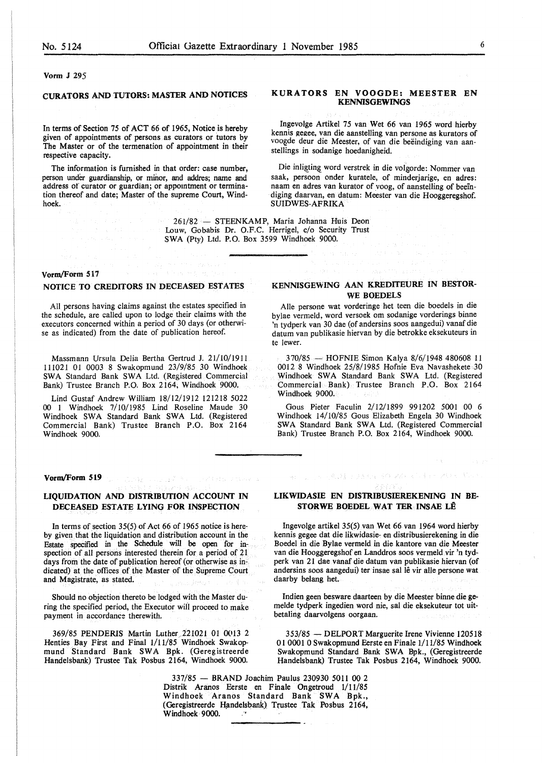#### Vorm J 295

#### **CURATORS AND TUTORS: MASTER AND NOTICES**

In terms of Section 75 of ACT 66 of 1965, Notice is hereby given of appointments of persons as curators or tutors by The Master or of the termenation of appointment in their respective capacity.

The information is furnished in that order: case number, person under guardianship, or minor, and addres; name and address of curator or guardian; or appomtment or termination thereof and date; Master of the supreme Court, Windhoek.

> Louw, Gobabis Dr. O.F.C. Herrigel, c/o Security Trust **SWA** (Pty) Ltd. P.O. Box 3599 Windhoek 9000.

#### **Vorm/Form 517**

#### **NOTICE TO CREDITORS IN DECEASED ESTATES**

All persons having claims against the estates specified in the schedule, are called upon to lodge their claims with the executors concerned within a period of 30 days (or otherwise as indicated) from the date of publication hereof.

Massmann Ursula Delia Bertha Gertrud J. 21/10/1911 111021 01 0003 8 Swakopmund 23/9/85 30 Windhoek SWA Standard Bank SWA Ltd. (Registered Commercial Bank) Trustee Branch P.O. Box 2164, Windhoek 9000.

Lind Gustaf Andrew William 18/12/1912 121218 5022 00 1 Windhoek 7/10/1985 Lind Roseline Maude 30 Windhoek SWA Standard Bank SWA Ltd. (Registered Commercial Bank) Trustee Branch P.O. Box 2164 Windhoek 9000.

#### **Vorm/Form 519**

#### **LIQUIDATION AND DISTRIBUTION ACCOUNT IN DECEASED ESTATE LYING FOR INSPECTION**

ふうほうしょうがく

In terms of section 35(5) of Act 66 of 1965 notice is hereby given that the liquidation and distribution account in the Estate specified in the Schedule will be open for inspection of all persons interested therein for a period of 21 days from the date of publication hereof (or otherwise as indicated) at the offices of the Master of the Supreme Court and Magistrate, as stated.

Should no objection thereto be lodged with the Master during the specified period, the Executor will proceed to make payment in accordance therewith.

369/85 PENDERIS Martin Luther. 221021 01 0013 2 Henties Bay First and Final 1/11/85 Windhoek Swakopmund Standard Bank SWA Bpk. (Geregistreerde Handelsbank) Trustee Tak Posbus 2164, Windhoek 9000.

#### **KURATORS EN VOOGDE: MEESTER EN KENNISGEWINGS**

Ingevolge Artikel 75 van Wet 66 van 1965 word hierby kennis gegee, van die aanstelling van persone as kurators of voogde deur die Meester, of van die beëindiging van aanstellings in sodanige hoedanigheid.

Die inligting word verstrek in die volgorde: Nommer van saak, persoon onder kuratele, of minderjarige, en adres: naam en adres van kurator of voog, of aanstelling of beeindiging daarvan, en datum: Meester van die Hooggeregshof. **SUIDWES-AFRIKA** 

261/82 - STEENKAMP, Maria Johanna Huis Deon

## **KENNISGEWING AAN KREDITEURE IN BESTOR-WE BOEDELS**

Alle persone wat vorderinge het teen die boedels in die bylae vermeld, word versoek om sodanige vorderings binne 'n tydperk van 30 dae (of andersins soos aangedui) vanaf die datum van publikasie hiervan by die betrokke eksekuteurs in te lewer.

370/85 - HOFNIE Simon Kalya 8/6/1948 480608 11 0012 8 Windhoek 25/8/1985 Hofnie Eva Navashekete 30 Windhoek SWA Standard Bank SWA Ltd. (Registered Commercial Bank) Trustee Branch P.O. Box 2164 Windhoek 9000.

Gous Pieter Faculin 2/12/1899 991202 5001 00 6 Windhoek 14/10/85 Gous Elizabeth Engela 30 Windhoek SWA Standard Bank SWA Ltd. (Registered Commercial Bank) Trustee Branch P.O. Box 2164, Windhoek 9000.

#### **LIKWIDASIE EN DISTRIBUSIEREKENING IN BE-STORWE BOEDEL WAT TER INSAE LÊ**

人名意英麦克里克利德 安全保留公司 经重新利润收益 建压

Ingevolge artikel 35(5) van Wet 66 van 1964 word hierby kennis gegee dat die Iikwidasie- en distribusierekening in die Boedel in die Bylae vermeld in die kantore van die Meester van die Hooggeregshof en Landdros soos vermeld vir 'n tydperk van 21 dae vanaf die datum van publikasie hiervan (of andersins soos aangedui) ter insae sal lê vir alle persone wat daarby belang het.

Indien geen besware daarteen by die Meester binne die gemelde tydperk ingedien word nie, sal die eksekuteur tot uitbetaling daarvolgens oorgaan.

353/85 - DELPORT Marguerite Irene Vivienne 120518 01 0001 0 Swakopmund Eerste en Finale 1/ 11/85 Windhoek Swakopmund Standard Bank SWA Bpk., (Geregistreerde Handelsbank) Trustee Tak Posbus 2164, Windhoek 9000.

337/85 - BRAND Joachim Paulus 230930 5011 00 2 Distrik Aranos Eerste en Finale Ongetroud 1/11/85 Windhoek Aranos Standard Bank SWA Bpk., (Geregistreerde Handelsbank) Trustee Tak Posbus 2164, Windhoek· 9000.  $\sim$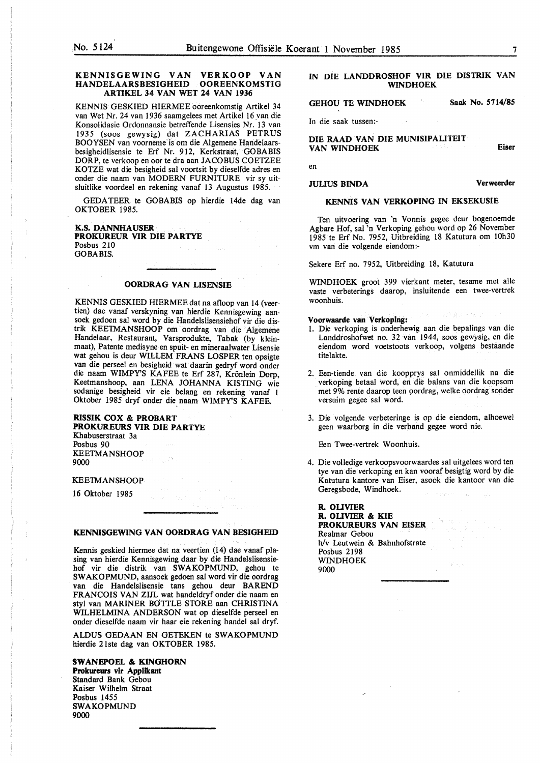#### **KENNISGEWING VAN VER KOOP VAN HANDELAARSBESIGHEID OOREENKOMSTIG ARTIKEL 34 VAN WET 24 VAN 1936**

**KENNIS** GESKIED HIERMEE ooreenkomstig Artikel 34 van Wet Nr. 24 van 1936 saamgelees met Artikel 16 van die Konsolidasie Ordonnansie betreffende Lisensies Nr. 13 van 1935 (soos gewysig) dat **ZACHARIAS** PETRUS BOOYSEN van voorneme is om die Algemene Handelaarsbesigheidlisensie te Erf Nr. 912, Kerkstraat, GOBABIS DORP, te verkoop en oor te dra aan JACOBUS COETZEE KOTZE wat die besigheid sal voortsit by dieselfde adres en onder die naam van MODERN FURNITURE vir sy uitsluitlike voordeel en rekening vanaf 13 Augustus 1985.

GEDATEER te GOBABlS op hierdie 14de dag van OKTOBER 1985.

#### **K.S. DANNHAUSER PROKUREUR VIR DIE PARTYE**  Posbus 210 GOBABIS.

#### **OORDRAG VAN LISENSIE**

**KENNIS** GESKIED HIERMEE dat na afloop van 14 (veertien) dae vanaf verskyning van hierdie Kennisgewing aansoek gedoen sal word by die Handelslisensiehof vir die distrik KEETMANSHOOP om oordrag van die Algemene Handelaar, Restaurant, Varsprodukte, Tabak (by kleinmaat), Patente medisyne en spuit- en mineraalwater Lisensie wat gehou is deur WILLEM FRANS LOSPER ten opsigte van die perseel en besigheid wat daarin gedryf word onder die naam WIMPY'S KAFEE te Erf 287, Krönlein Dorp, Keetmanshoop, aan LENA JOHANNA KISTING wie sodanige besigheid vir eie belang en rekening vanaf I Oktober 1985 dryf onder die naam WIMPY'S KAFEE.

#### **RISSIK COX** & **PROBART PROKUREURS VIR DIE PARTYE**

Khabuserstraat 3a Posbus 90 **KEETMANSHOOP**  9000

#### **KEETMANSHOOP**

16 Oktober 1985

#### **KENNISGEWING VAN OORDRAG VAN BESIGHEID**

Kennis geskied hiermee dat na veertien (14) dae vanaf plasing van hierdie Kennisgewing daar by die Handelslisensiehof vir die distrik van SWAKOPMUND, gehou te SWAKOPMUND, aansoek gedoen sal word vir die oordrag van die Handelslisensie tans gehou deur BAREND FRANCOIS VAN ZUL wat handeldryf onder die naam en sty! van MARINER BdTTLE STORE aan CHRISTINA WILHELMINA ANDERSON wat op dieselfde perseel en onder dieselfde naam vir haar eie rekening handel sal dryf.

ALDUS GEDAAN EN GETEKEN te SWAKOPMUND hierdie 2 lste dag van OKTOBER 1985.

**SWANEPOEL** & **KINGHORN Prokureurs vir Applikant**  Standard Bank Gebou **Kaiser** Wilhelm Straat **Posbus** 1455 **SWAKOPMUND 9000** 

#### IN DIE LANDDROSHOF VIR DIE DISTRIK VAN WINDHOEK

GEHOU TE WINDHOEK Saak No. 5714/85

In die saak tussen:-

DIE **RAAD VAN** DIE **MUNISIPALITEIT VAN WINDHOEK Eiser** 

en

#### **JULIUS BINDA Verweerder**

#### **KENNIS VAN VERKOPING IN EKSEKUSIE**

Ten uitvoering van 'n Vonnis gegee deur bogenoemde Agbare Hof, sal 'n Verkoping gehou word op 26 November 1985 te Erf No. 7952, Uitbreiding 18 Katutura om 10h30 vm van die volgende eiendom:-

Sekere Erf no. 7952, Uitbreiding 18, Katutura

WINDHOEK groot 399 vierkant meter, tesame met alle vaste verbeterings daarop, insluitende een twee-vertrek woonhuis.

#### **Voorwaarde van Verkoplng:**

- 1. Die verkoping is onderhewig aan die bepalings van die Landdroshofwet no. 32 van 1944, soos gewysig, en die eiendom word voetstoots verkoop, volgens bestaande titelakte.
- 2. Een-tiende van die koopprys sal onmiddellik na die verkoping betaal word, en die balans van die koopsom met 9% rente daarop teen oordrag, welke oordrag sonder versuim gegee sal word.
- 3. Die volgende verbeteringe is op die eiendom, alhoewel geen waarborg in die verband gegee word nie.

Een Twee-vertrek Woonhuis.

4. Die volledige verkoopsvoorwaardes sal uitgelees word ten tye van die verkoping en kan vooraf besigtig word by die Katutura kantore van Eiser, asook die kantoor van die Geregsbode, Windhoek.

**R. OLIVIER R. OLIVIER** & **KIE PROKUREURS VAN EISER**  Realmar Gebou h/v Leutwein & Bahnhofstrate Posbus 2198 WINDHOEK 9000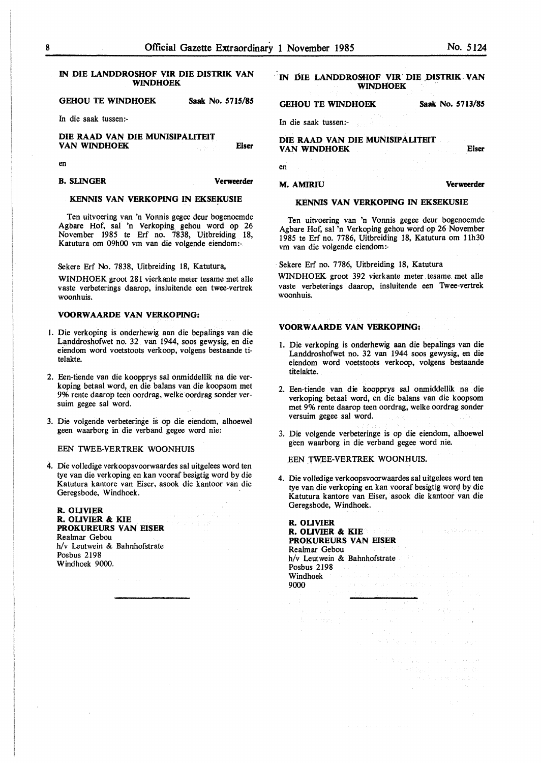#### IN DIE LANDDROSHOF VIR DIE DISTRIK VAN WINDHOEK

**GEHOU TE WINDHOEK Saak No.** *5115/85* 

In die saak tussen:-

**DIE RAAD VAN DIE MUNISIPAUTEIT VAN WINDHOEK Eiser** 

en

**B. SUNGER Verweerder** 

#### **KENNIS VAN VERKOPING** IN **EKSEKUSIE**

Ten uitvoering van 'n Vonnis gegee deur bogenoemde Agbare Hof, sal 'n Verkoping\_ gehou word op 26 November 1985 te Erf no. 7838, Uitbreiding 18, Katutura om 09h00 vm van die volgende eiendom:-

Sekere Erf No. 7838, Uitbreiding 18, Katutura,

WINDHOEK groot 281 vierkante meter tesame met alle vaste verbeterings daarop, insluitende een twee-vertrek woonhuis.

#### **VOORWAARDE VAN VERKOPING:**

- I. Die verkoping is onderhewig aan die bepalings van die Landdroshofwet no. 32 van 1944, soos gewysig, en die eiendom word voetstoots verkoop, volgens bestaande titelakte.
- 2. Een-tiende van die koopprys sal onmiddellik na die verkoping betaal word, en die balans van die koopsom met 9% rente daarop teen oordrag, welke oordrag sonder versuim gegee sal word.
- 3. Die volgende verbeteringe is op die eiendom, alhoewel geen waarborg in die verband gegee word nie:

#### EEN TWEE-VERTREK WOONHUIS

4. Die volledige verkoopsvoorwaardes sal uitgelees word ten tye van die verkoping en kan vooraf besigtig word by die Katutura kantore van Eiser, asook die kantoor van die Geregsbode, Windhoek.

**R. OUVIER R. OUVIER** & **KIE PROKUREURS VAN EISER**  Realmar Gebou h/v Leutwein & Bahnhofstrate Posbus 2198 Windhoek 9000.

#### IN **DIE LANDDROSHOF VIR DIE DISTRIK VAN WINDHOEK** .

#### **GEHOU TE WINDHOEK Saak No. 5713/85**

In die saak tussen:-

**DIE RAAD VAN DIE MUNISIPAUTEIT VAN WINDHOEK** 

en

#### **M.AMIRIU Verweerder**

#### **KENNIS VAN VERKOPING IN EKSEKUSIE**

Ten uitvoering van 'n Vonnis gegee deur bogenoemde Agbare Hof, sal 'n Verkoping gehou word op 26 November I 985 te Erf no. 7786, Uitbreiding 18, Katutura om 11h30 vm van die volgende eiendom :-

Sekere Erf no. 7786, Uitbreiding 18, Katutura

WINDHOEK groot 392 vierkante meter tesame. met alle vaste verbeterings daarop, insluitende een Twee-vertrek woonhuis.

#### **VOORWAARDE VAN VERKOPING:**

- I. Die verkoping is onderhewig aan die bepalings van die Landdroshofwet no. 32 van 1944 soos gewysig, en die eiendom word voetstoots verkoop, volgens bestaande titelakte.
- 2. Een-tiende van die koopprys sal onmiddellik na die verkoping betaal word, en die balans van die koopsom met 9% rente daarop teen oordrag, welke oordrag sonder versuim gegee sal word.
- 3. Die volgende verbeteringe is op die eiendom, alhoewel geen waarborg in die verband gegee word nie.

EEN TWEE-VERTREK WOONHUIS.

4. Die volledige verkoopsvoorwaardes sal uitgelees word ten tye van die verkoping en kan vooraf besigtig worq by die Katutura kantore van Eiser, asook die kantoor van die Geregsbode, Windhoek.

**R. OUVIER R. OUVIER** & **KIE PROKUREURS VAN EISER**  Realmar Gebou h/v Leutwein & Bahnhofstrate Posbus 2198 Windhoek 9000

**Eiser**